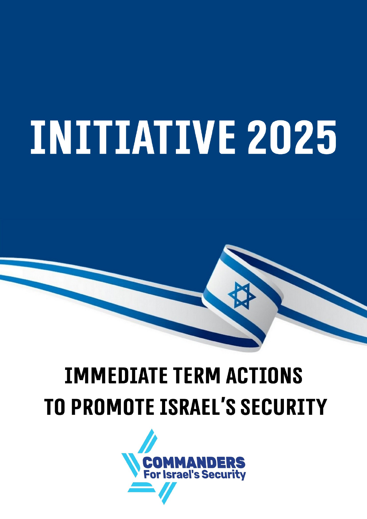# **INITIATIVE 2025**

## **IMMEDIATE TERM ACTIONS TO PROMOTE ISRAEL'S SECURITY**

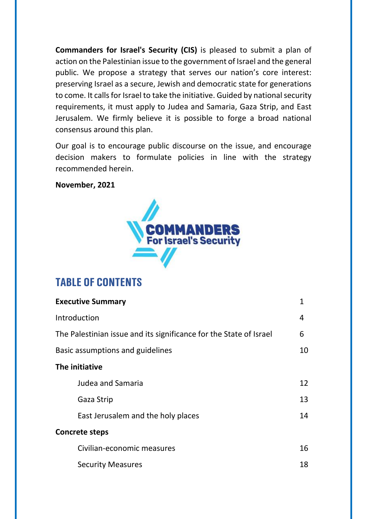**Commanders for Israel's Security (CIS)** is pleased to submit a plan of action on the Palestinian issue to the government of Israel and the general public. We propose a strategy that serves our nation's core interest: preserving Israel as a secure, Jewish and democratic state for generations to come. It calls for Israel to take the initiative. Guided by national security requirements, it must apply to Judea and Samaria, Gaza Strip, and East Jerusalem. We firmly believe it is possible to forge a broad national consensus around this plan.

Our goal is to encourage public discourse on the issue, and encourage decision makers to formulate policies in line with the strategy recommended herein.

#### **November, 2021**



#### **Table of Contents**

| <b>Executive Summary</b>                                           | 1  |
|--------------------------------------------------------------------|----|
| Introduction                                                       | 4  |
| The Palestinian issue and its significance for the State of Israel | 6  |
| Basic assumptions and guidelines                                   | 10 |
| The initiative                                                     |    |
| Judea and Samaria                                                  | 12 |
| Gaza Strip                                                         | 13 |
| East Jerusalem and the holy places                                 | 14 |
| <b>Concrete steps</b>                                              |    |
| Civilian-economic measures                                         | 16 |
| <b>Security Measures</b>                                           | 18 |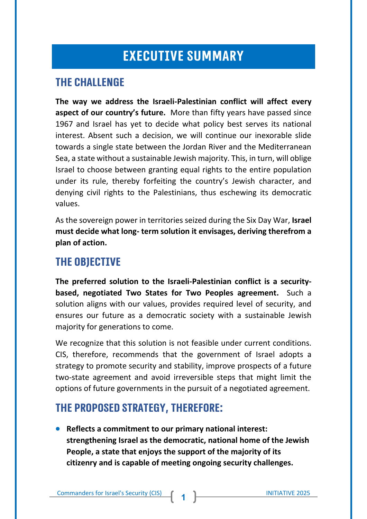#### **EXECUTIVE SUMMARY**

#### **The challenge**

**The way we address the Israeli-Palestinian conflict will affect every aspect of our country's future.** More than fifty years have passed since 1967 and Israel has yet to decide what policy best serves its national interest. Absent such a decision, we will continue our inexorable slide towards a single state between the Jordan River and the Mediterranean Sea, a state without a sustainable Jewish majority. This, in turn, will oblige Israel to choose between granting equal rights to the entire population under its rule, thereby forfeiting the country's Jewish character, and denying civil rights to the Palestinians, thus eschewing its democratic values.

As the sovereign power in territories seized during the Six Day War, **Israel must decide what long- term solution it envisages, deriving therefrom a plan of action.**

#### **The objective**

**The preferred solution to the Israeli-Palestinian conflict is a securitybased, negotiated Two States for Two Peoples agreement.** Such a solution aligns with our values, provides required level of security, and ensures our future as a democratic society with a sustainable Jewish majority for generations to come.

We recognize that this solution is not feasible under current conditions. CIS, therefore, recommends that the government of Israel adopts a strategy to promote security and stability, improve prospects of a future two-state agreement and avoid irreversible steps that might limit the options of future governments in the pursuit of a negotiated agreement.

#### **The proposed strategy, therefore:**

• **Reflects a commitment to our primary national interest: strengthening Israel as the democratic, national home of the Jewish People, a state that enjoys the support of the majority of its citizenry and is capable of meeting ongoing security challenges.**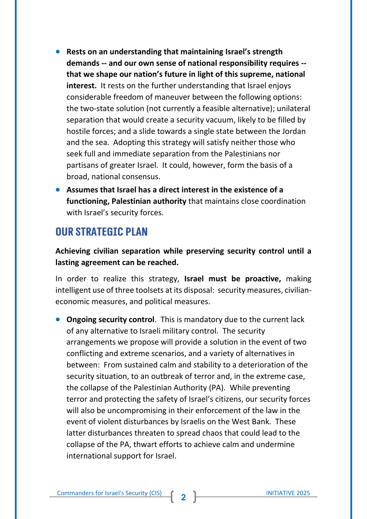- **Rests on an understanding that maintaining Israel's strength demands -- and our own sense of national responsibility requires - that we shape our nation's future in light of this supreme, national interest.** It rests on the further understanding that Israel enjoys considerable freedom of maneuver between the following options: the two-state solution (not currently a feasible alternative); unilateral separation that would create a security vacuum, likely to be filled by hostile forces; and a slide towards a single state between the Jordan and the sea. Adopting this strategy will satisfy neither those who seek full and immediate separation from the Palestinians nor partisans of greater Israel. It could, however, form the basis of a broad, national consensus.
- **Assumes that Israel has a direct interest in the existence of a functioning, Palestinian authority** that maintains close coordination with Israel's security forces.

#### **Our strategic plan**

**Achieving civilian separation while preserving security control until a lasting agreement can be reached.**

In order to realize this strategy, **Israel must be proactive,** making intelligent use of three toolsets at its disposal: security measures, civilianeconomic measures, and political measures.

• **Ongoing security control**. This is mandatory due to the current lack of any alternative to Israeli military control. The security arrangements we propose will provide a solution in the event of two conflicting and extreme scenarios, and a variety of alternatives in between: From sustained calm and stability to a deterioration of the security situation, to an outbreak of terror and, in the extreme case, the collapse of the Palestinian Authority (PA). While preventing terror and protecting the safety of Israel's citizens, our security forces will also be uncompromising in their enforcement of the law in the event of violent disturbances by Israelis on the West Bank. These latter disturbances threaten to spread chaos that could lead to the collapse of the PA, thwart efforts to achieve calm and undermine international support for Israel.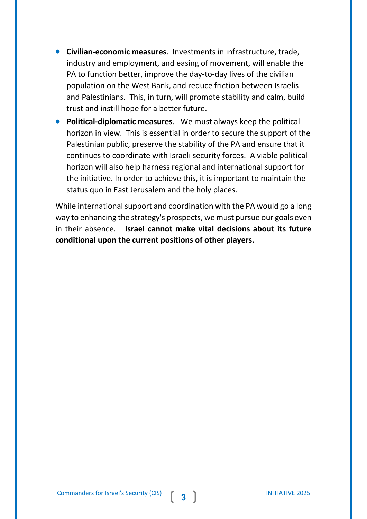- **Civilian-economic measures**. Investments in infrastructure, trade, industry and employment, and easing of movement, will enable the PA to function better, improve the day-to-day lives of the civilian population on the West Bank, and reduce friction between Israelis and Palestinians. This, in turn, will promote stability and calm, build trust and instill hope for a better future.
- **Political-diplomatic measures**. We must always keep the political horizon in view. This is essential in order to secure the support of the Palestinian public, preserve the stability of the PA and ensure that it continues to coordinate with Israeli security forces. A viable political horizon will also help harness regional and international support for the initiative. In order to achieve this, it is important to maintain the status quo in East Jerusalem and the holy places.

While international support and coordination with the PA would go a long way to enhancing the strategy's prospects, we must pursue our goals even in their absence. **Israel cannot make vital decisions about its future conditional upon the current positions of other players.**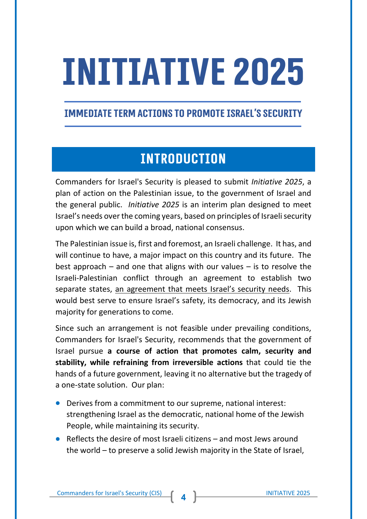# **Initiative 2025**

#### **Immediate Term Actions to Promote Israel's Security**

#### **INTRODUCTION**

Commanders for Israel's Security is pleased to submit *Initiative 2025*, a plan of action on the Palestinian issue, to the government of Israel and the general public. *Initiative 2025* is an interim plan designed to meet Israel's needs over the coming years, based on principles of Israeli security upon which we can build a broad, national consensus.

The Palestinian issue is, first and foremost, an Israeli challenge. It has, and will continue to have, a major impact on this country and its future. The best approach – and one that aligns with our values – is to resolve the Israeli-Palestinian conflict through an agreement to establish two separate states, an agreement that meets Israel's security needs. This would best serve to ensure Israel's safety, its democracy, and its Jewish majority for generations to come.

Since such an arrangement is not feasible under prevailing conditions, Commanders for Israel's Security, recommends that the government of Israel pursue **a course of action that promotes calm, security and stability, while refraining from irreversible actions** that could tie the hands of a future government, leaving it no alternative but the tragedy of a one-state solution. Our plan:

- Derives from a commitment to our supreme, national interest: strengthening Israel as the democratic, national home of the Jewish People, while maintaining its security.
- Reflects the desire of most Israeli citizens and most Jews around the world – to preserve a solid Jewish majority in the State of Israel,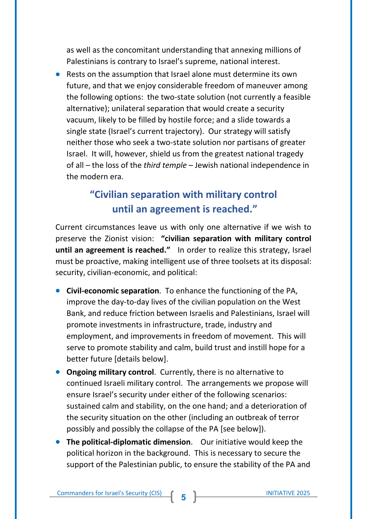as well as the concomitant understanding that annexing millions of Palestinians is contrary to Israel's supreme, national interest.

• Rests on the assumption that Israel alone must determine its own future, and that we enjoy considerable freedom of maneuver among the following options: the two-state solution (not currently a feasible alternative); unilateral separation that would create a security vacuum, likely to be filled by hostile force; and a slide towards a single state (Israel's current trajectory). Our strategy will satisfy neither those who seek a two-state solution nor partisans of greater Israel. It will, however, shield us from the greatest national tragedy of all – the loss of the *third temple* – Jewish national independence in the modern era.

#### **"Civilian separation with military control until an agreement is reached."**

Current circumstances leave us with only one alternative if we wish to preserve the Zionist vision: **"civilian separation with military control until an agreement is reached."** In order to realize this strategy, Israel must be proactive, making intelligent use of three toolsets at its disposal: security, civilian-economic, and political:

- **Civil-economic separation**. To enhance the functioning of the PA, improve the day-to-day lives of the civilian population on the West Bank, and reduce friction between Israelis and Palestinians, Israel will promote investments in infrastructure, trade, industry and employment, and improvements in freedom of movement. This will serve to promote stability and calm, build trust and instill hope for a better future [details below].
- **Ongoing military control**. Currently, there is no alternative to continued Israeli military control. The arrangements we propose will ensure Israel's security under either of the following scenarios: sustained calm and stability, on the one hand; and a deterioration of the security situation on the other (including an outbreak of terror possibly and possibly the collapse of the PA [see below]).
- **The political-diplomatic dimension**. Our initiative would keep the political horizon in the background. This is necessary to secure the support of the Palestinian public, to ensure the stability of the PA and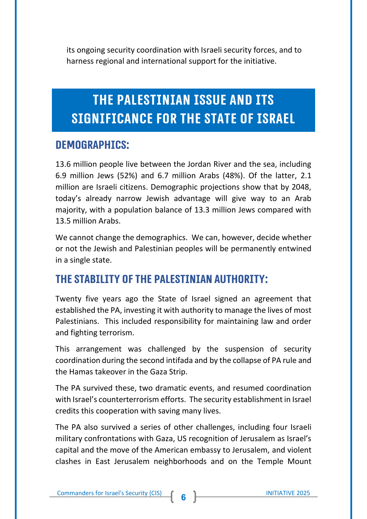its ongoing security coordination with Israeli security forces, and to harness regional and international support for the initiative.

#### THE PALESTINIAN ISSUE AND ITS **SIGNIFICANCE FOR THE STATE OF ISRAEL**

#### **Demographics:**

13.6 million people live between the Jordan River and the sea, including 6.9 million Jews (52%) and 6.7 million Arabs (48%). Of the latter, 2.1 million are Israeli citizens. Demographic projections show that by 2048, today's already narrow Jewish advantage will give way to an Arab majority, with a population balance of 13.3 million Jews compared with 13.5 million Arabs.

We cannot change the demographics. We can, however, decide whether or not the Jewish and Palestinian peoples will be permanently entwined in a single state.

#### **The stability of the Palestinian Authority:**

Twenty five years ago the State of Israel signed an agreement that established the PA, investing it with authority to manage the lives of most Palestinians. This included responsibility for maintaining law and order and fighting terrorism.

This arrangement was challenged by the suspension of security coordination during the second intifada and by the collapse of PA rule and the Hamas takeover in the Gaza Strip.

The PA survived these, two dramatic events, and resumed coordination with Israel's counterterrorism efforts. The security establishment in Israel credits this cooperation with saving many lives.

The PA also survived a series of other challenges, including four Israeli military confrontations with Gaza, US recognition of Jerusalem as Israel's capital and the move of the American embassy to Jerusalem, and violent clashes in East Jerusalem neighborhoods and on the Temple Mount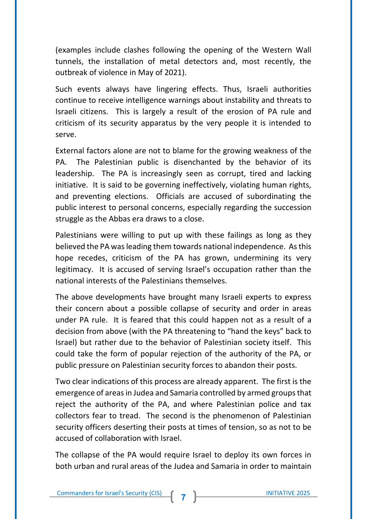(examples include clashes following the opening of the Western Wall tunnels, the installation of metal detectors and, most recently, the outbreak of violence in May of 2021).

Such events always have lingering effects. Thus, Israeli authorities continue to receive intelligence warnings about instability and threats to Israeli citizens. This is largely a result of the erosion of PA rule and criticism of its security apparatus by the very people it is intended to serve.

External factors alone are not to blame for the growing weakness of the PA. The Palestinian public is disenchanted by the behavior of its leadership. The PA is increasingly seen as corrupt, tired and lacking initiative. It is said to be governing ineffectively, violating human rights, and preventing elections. Officials are accused of subordinating the public interest to personal concerns, especially regarding the succession struggle as the Abbas era draws to a close.

Palestinians were willing to put up with these failings as long as they believed the PA was leading them towards national independence. As this hope recedes, criticism of the PA has grown, undermining its very legitimacy. It is accused of serving Israel's occupation rather than the national interests of the Palestinians themselves.

The above developments have brought many Israeli experts to express their concern about a possible collapse of security and order in areas under PA rule. It is feared that this could happen not as a result of a decision from above (with the PA threatening to "hand the keys" back to Israel) but rather due to the behavior of Palestinian society itself. This could take the form of popular rejection of the authority of the PA, or public pressure on Palestinian security forces to abandon their posts.

Two clear indications of this process are already apparent. The first is the emergence of areas in Judea and Samaria controlled by armed groups that reject the authority of the PA, and where Palestinian police and tax collectors fear to tread. The second is the phenomenon of Palestinian security officers deserting their posts at times of tension, so as not to be accused of collaboration with Israel.

The collapse of the PA would require Israel to deploy its own forces in both urban and rural areas of the Judea and Samaria in order to maintain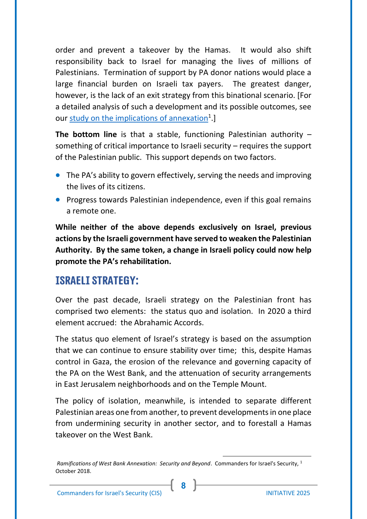order and prevent a takeover by the Hamas. It would also shift responsibility back to Israel for managing the lives of millions of Palestinians. Termination of support by PA donor nations would place a large financial burden on Israeli tax payers. The greatest danger, however, is the lack of an exit strategy from this binational scenario. [For a detailed analysis of such a development and its possible outcomes, see our [study on the implications of annexation](http://en.cis.org.il/wp-content/uploads/2018/12/RAMIFICATIONS-OF-WEST-BANK-ANNEXATION.pdf)<sup>1</sup>.

**The bottom line** is that a stable, functioning Palestinian authority – something of critical importance to Israeli security – requires the support of the Palestinian public. This support depends on two factors.

- The PA's ability to govern effectively, serving the needs and improving the lives of its citizens.
- Progress towards Palestinian independence, even if this goal remains a remote one.

**While neither of the above depends exclusively on Israel, previous actions by the Israeli government have served to weaken the Palestinian Authority. By the same token, a change in Israeli policy could now help promote the PA's rehabilitation.**

#### **Israeli strategy:**

Over the past decade, Israeli strategy on the Palestinian front has comprised two elements: the status quo and isolation. In 2020 a third element accrued: the Abrahamic Accords.

The status quo element of Israel's strategy is based on the assumption that we can continue to ensure stability over time; this, despite Hamas control in Gaza, the erosion of the relevance and governing capacity of the PA on the West Bank, and the attenuation of security arrangements in East Jerusalem neighborhoods and on the Temple Mount.

The policy of isolation, meanwhile, is intended to separate different Palestinian areas one from another, to prevent developments in one place from undermining security in another sector, and to forestall a Hamas takeover on the West Bank.

**8**

<sup>1</sup> *Ramifications of West Bank Annexation: Security and Beyond*. Commanders for Israel's Security, October 2018.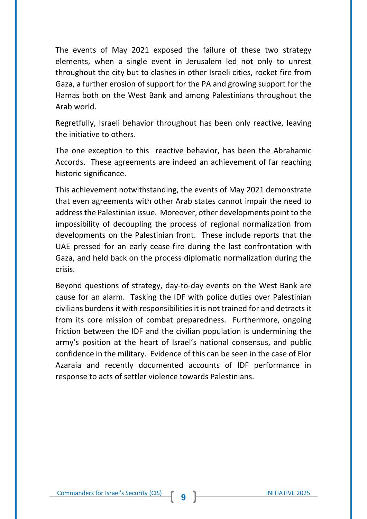The events of May 2021 exposed the failure of these two strategy elements, when a single event in Jerusalem led not only to unrest throughout the city but to clashes in other Israeli cities, rocket fire from Gaza, a further erosion of support for the PA and growing support for the Hamas both on the West Bank and among Palestinians throughout the Arab world.

Regretfully, Israeli behavior throughout has been only reactive, leaving the initiative to others.

The one exception to this reactive behavior, has been the Abrahamic Accords. These agreements are indeed an achievement of far reaching historic significance.

This achievement notwithstanding, the events of May 2021 demonstrate that even agreements with other Arab states cannot impair the need to address the Palestinian issue. Moreover, other developments point to the impossibility of decoupling the process of regional normalization from developments on the Palestinian front. These include reports that the UAE pressed for an early cease-fire during the last confrontation with Gaza, and held back on the process diplomatic normalization during the crisis.

Beyond questions of strategy, day-to-day events on the West Bank are cause for an alarm. Tasking the IDF with police duties over Palestinian civilians burdens it with responsibilities it is not trained for and detracts it from its core mission of combat preparedness. Furthermore, ongoing friction between the IDF and the civilian population is undermining the army's position at the heart of Israel's national consensus, and public confidence in the military. Evidence of this can be seen in the case of Elor Azaraia and recently documented accounts of IDF performance in response to acts of settler violence towards Palestinians.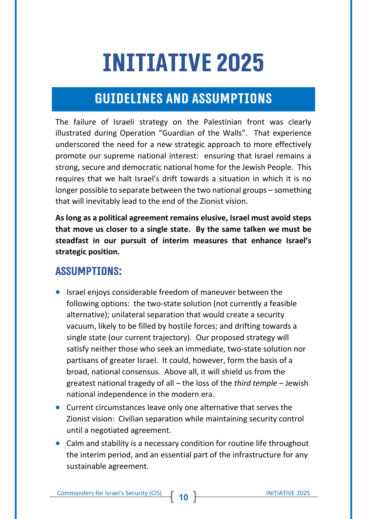## **Initiative 2025**

#### **GUIDELINES AND ASSUMPTIONS**

The failure of Israeli strategy on the Palestinian front was clearly illustrated during Operation "Guardian of the Walls". That experience underscored the need for a new strategic approach to more effectively promote our supreme national interest: ensuring that Israel remains a strong, secure and democratic national home for the Jewish People. This requires that we halt Israel's drift towards a situation in which it is no longer possible to separate between the two national groups – something that will inevitably lead to the end of the Zionist vision.

**As long as a political agreement remains elusive, Israel must avoid steps that move us closer to a single state. By the same talken we must be steadfast in our pursuit of interim measures that enhance Israel's strategic position.**

#### **Assumptions:**

- Israel enjoys considerable freedom of maneuver between the following options: the two-state solution (not currently a feasible alternative); unilateral separation that would create a security vacuum, likely to be filled by hostile forces; and drifting towards a single state (our current trajectory). Our proposed strategy will satisfy neither those who seek an immediate, two-state solution nor partisans of greater Israel. It could, however, form the basis of a broad, national consensus. Above all, it will shield us from the greatest national tragedy of all – the loss of the *third temple* – Jewish national independence in the modern era.
- Current circumstances leave only one alternative that serves the Zionist vision: Civilian separation while maintaining security control until a negotiated agreement.
- Calm and stability is a necessary condition for routine life throughout the interim period, and an essential part of the infrastructure for any sustainable agreement.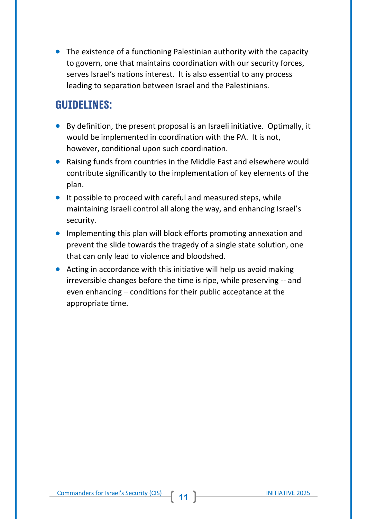• The existence of a functioning Palestinian authority with the capacity to govern, one that maintains coordination with our security forces, serves Israel's nations interest. It is also essential to any process leading to separation between Israel and the Palestinians.

#### **Guidelines:**

- By definition, the present proposal is an Israeli initiative. Optimally, it would be implemented in coordination with the PA. It is not, however, conditional upon such coordination.
- Raising funds from countries in the Middle East and elsewhere would contribute significantly to the implementation of key elements of the plan.
- It possible to proceed with careful and measured steps, while maintaining Israeli control all along the way, and enhancing Israel's security.
- Implementing this plan will block efforts promoting annexation and prevent the slide towards the tragedy of a single state solution, one that can only lead to violence and bloodshed.
- Acting in accordance with this initiative will help us avoid making irreversible changes before the time is ripe, while preserving -- and even enhancing – conditions for their public acceptance at the appropriate time.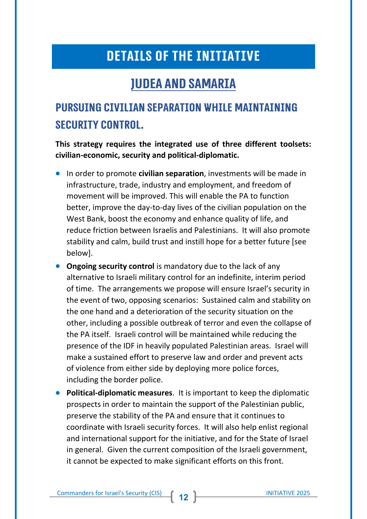#### **DETAILS OF THE INITIATIVE**

#### **Judea and Samaria**

#### **Pursuing civilian separation while maintaining security control.**

**This strategy requires the integrated use of three different toolsets: civilian-economic, security and political-diplomatic.**

- In order to promote **civilian separation**, investments will be made in infrastructure, trade, industry and employment, and freedom of movement will be improved. This will enable the PA to function better, improve the day-to-day lives of the civilian population on the West Bank, boost the economy and enhance quality of life, and reduce friction between Israelis and Palestinians. It will also promote stability and calm, build trust and instill hope for a better future [see below].
- **Ongoing security control** is mandatory due to the lack of any alternative to Israeli military control for an indefinite, interim period of time. The arrangements we propose will ensure Israel's security in the event of two, opposing scenarios: Sustained calm and stability on the one hand and a deterioration of the security situation on the other, including a possible outbreak of terror and even the collapse of the PA itself. Israeli control will be maintained while reducing the presence of the IDF in heavily populated Palestinian areas. Israel will make a sustained effort to preserve law and order and prevent acts of violence from either side by deploying more police forces, including the border police.
- **Political-diplomatic measures**. It is important to keep the diplomatic prospects in order to maintain the support of the Palestinian public, preserve the stability of the PA and ensure that it continues to coordinate with Israeli security forces. It will also help enlist regional and international support for the initiative, and for the State of Israel in general. Given the current composition of the Israeli government, it cannot be expected to make significant efforts on this front.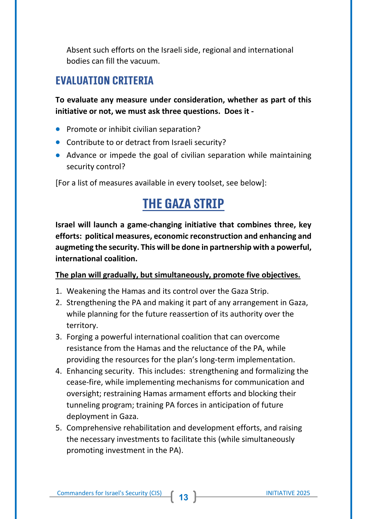Absent such efforts on the Israeli side, regional and international bodies can fill the vacuum.

#### **Evaluation criteria**

**To evaluate any measure under consideration, whether as part of this initiative or not, we must ask three questions. Does it -**

- **•** Promote or inhibit civilian separation?
- Contribute to or detract from Israeli security?
- Advance or impede the goal of civilian separation while maintaining security control?

[For a list of measures available in every toolset, see below]:

#### **The Gaza Strip**

**Israel will launch a game-changing initiative that combines three, key efforts: political measures, economic reconstruction and enhancing and augmeting the security. This will be done in partnership with a powerful, international coalition.**

#### **The plan will gradually, but simultaneously, promote five objectives.**

- 1. Weakening the Hamas and its control over the Gaza Strip.
- 2. Strengthening the PA and making it part of any arrangement in Gaza, while planning for the future reassertion of its authority over the territory.
- 3. Forging a powerful international coalition that can overcome resistance from the Hamas and the reluctance of the PA, while providing the resources for the plan's long-term implementation.
- 4. Enhancing security. This includes: strengthening and formalizing the cease-fire, while implementing mechanisms for communication and oversight; restraining Hamas armament efforts and blocking their tunneling program; training PA forces in anticipation of future deployment in Gaza.
- 5. Comprehensive rehabilitation and development efforts, and raising the necessary investments to facilitate this (while simultaneously promoting investment in the PA).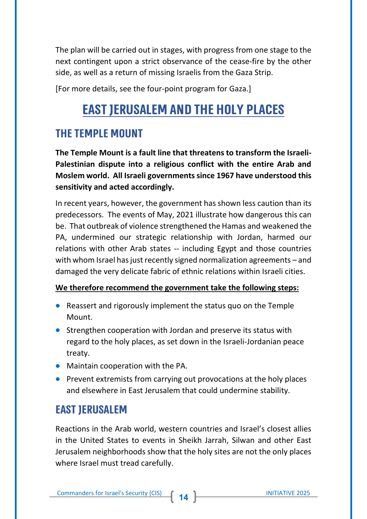The plan will be carried out in stages, with progress from one stage to the next contingent upon a strict observance of the cease-fire by the other side, as well as a return of missing Israelis from the Gaza Strip.

[For more details, see the four-point program for Gaza.]

#### **East Jerusalem and the Holy Places**

#### **The Temple Mount**

**The Temple Mount is a fault line that threatens to transform the Israeli-Palestinian dispute into a religious conflict with the entire Arab and Moslem world. All Israeli governments since 1967 have understood this sensitivity and acted accordingly.**

In recent years, however, the government has shown less caution than its predecessors. The events of May, 2021 illustrate how dangerous this can be. That outbreak of violence strengthened the Hamas and weakened the PA, undermined our strategic relationship with Jordan, harmed our relations with other Arab states -- including Egypt and those countries with whom Israel has just recently signed normalization agreements – and damaged the very delicate fabric of ethnic relations within Israeli cities.

#### **We therefore recommend the government take the following steps:**

- Reassert and rigorously implement the status quo on the Temple Mount.
- Strengthen cooperation with Jordan and preserve its status with regard to the holy places, as set down in the Israeli-Jordanian peace treaty.
- Maintain cooperation with the PA.
- Prevent extremists from carrying out provocations at the holy places and elsewhere in East Jerusalem that could undermine stability.

#### **East Jerusalem**

Reactions in the Arab world, western countries and Israel's closest allies in the United States to events in Sheikh Jarrah, Silwan and other East Jerusalem neighborhoods show that the holy sites are not the only places where Israel must tread carefully.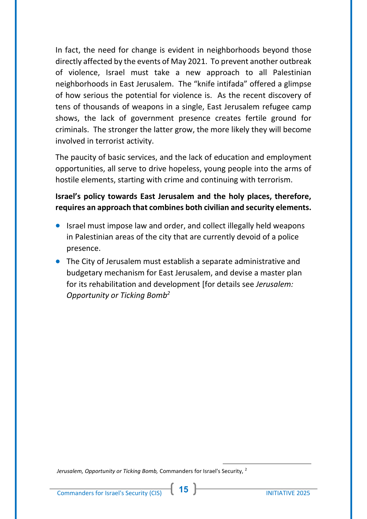In fact, the need for change is evident in neighborhoods beyond those directly affected by the events of May 2021. To prevent another outbreak of violence, Israel must take a new approach to all Palestinian neighborhoods in East Jerusalem. The "knife intifada" offered a glimpse of how serious the potential for violence is. As the recent discovery of tens of thousands of weapons in a single, East Jerusalem refugee camp shows, the lack of government presence creates fertile ground for criminals. The stronger the latter grow, the more likely they will become involved in terrorist activity.

The paucity of basic services, and the lack of education and employment opportunities, all serve to drive hopeless, young people into the arms of hostile elements, starting with crime and continuing with terrorism.

#### **Israel's policy towards East Jerusalem and the holy places, therefore, requires an approach that combines both civilian and security elements.**

- Israel must impose law and order, and collect illegally held weapons in Palestinian areas of the city that are currently devoid of a police presence.
- The City of Jerusalem must establish a separate administrative and budgetary mechanism for East Jerusalem, and devise a master plan for its rehabilitation and development [for details see *Jerusalem: Opportunity or Ticking Bomb<sup>2</sup>*

2 *Jerusalem, Opportunity or Ticking Bomb,* Commanders for Israel's Security,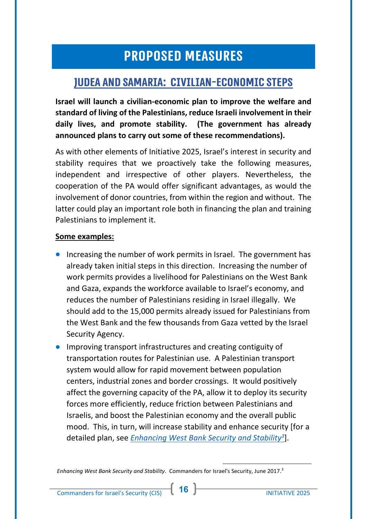#### **PROPOSED MEASURES**

#### **Judea and Samaria: Civilian-Economic Steps**

**Israel will launch a civilian-economic plan to improve the welfare and standard of living of the Palestinians, reduce Israeli involvement in their daily lives, and promote stability. (The government has already announced plans to carry out some of these recommendations).**

As with other elements of Initiative 2025, Israel's interest in security and stability requires that we proactively take the following measures, independent and irrespective of other players. Nevertheless, the cooperation of the PA would offer significant advantages, as would the involvement of donor countries, from within the region and without. The latter could play an important role both in financing the plan and training Palestinians to implement it.

#### **Some examples:**

- Increasing the number of work permits in Israel. The government has already taken initial steps in this direction. Increasing the number of work permits provides a livelihood for Palestinians on the West Bank and Gaza, expands the workforce available to Israel's economy, and reduces the number of Palestinians residing in Israel illegally. We should add to the 15,000 permits already issued for Palestinians from the West Bank and the few thousands from Gaza vetted by the Israel Security Agency.
- Improving transport infrastructures and creating contiguity of transportation routes for Palestinian use. A Palestinian transport system would allow for rapid movement between population centers, industrial zones and border crossings. It would positively affect the governing capacity of the PA, allow it to deploy its security forces more efficiently, reduce friction between Palestinians and Israelis, and boost the Palestinian economy and the overall public mood. This, in turn, will increase stability and enhance security [for a detailed plan, see *[Enhancing West Bank Security and Stability](http://en.cis.org.il/wp-content/uploads/2017/06/HOVERET_HIZUK_YEZIVOOT_ENG.pdf)<sup>3</sup>* ].

<sup>3</sup> *Enhancing West Bank Security and Stability*. Commanders for Israel's Security, June 2017.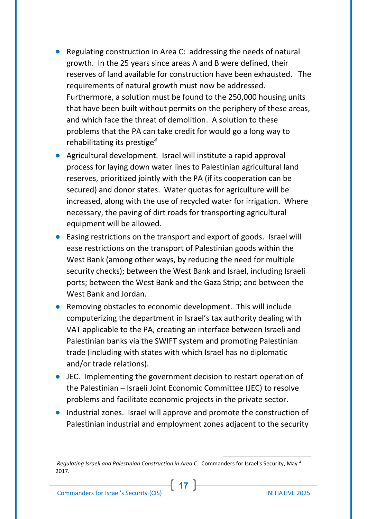- Regulating construction in Area C: addressing the needs of natural growth. In the 25 years since areas A and B were defined, their reserves of land available for construction have been exhausted. The requirements of natural growth must now be addressed. Furthermore, a solution must be found to the 250,000 housing units that have been built without permits on the periphery of these areas, and which face the threat of demolition. A solution to these problems that the PA can take credit for would go a long way to rehabilitating its prestige*<sup>4</sup>*
- Agricultural development. Israel will institute a rapid approval process for laying down water lines to Palestinian agricultural land reserves, prioritized jointly with the PA (if its cooperation can be secured) and donor states. Water quotas for agriculture will be increased, along with the use of recycled water for irrigation. Where necessary, the paving of dirt roads for transporting agricultural equipment will be allowed.
- Easing restrictions on the transport and export of goods. Israel will ease restrictions on the transport of Palestinian goods within the West Bank (among other ways, by reducing the need for multiple security checks); between the West Bank and Israel, including Israeli ports; between the West Bank and the Gaza Strip; and between the West Bank and Jordan.
- Removing obstacles to economic development. This will include computerizing the department in Israel's tax authority dealing with VAT applicable to the PA, creating an interface between Israeli and Palestinian banks via the SWIFT system and promoting Palestinian trade (including with states with which Israel has no diplomatic and/or trade relations).
- JEC. Implementing the government decision to restart operation of the Palestinian – Israeli Joint Economic Committee (JEC) to resolve problems and facilitate economic projects in the private sector.
- Industrial zones. Israel will approve and promote the construction of Palestinian industrial and employment zones adjacent to the security

**17**

<sup>4</sup> *Regulating Israeli and Palestinian Construction in Area C.* Commanders for Israel's Security, May 2017.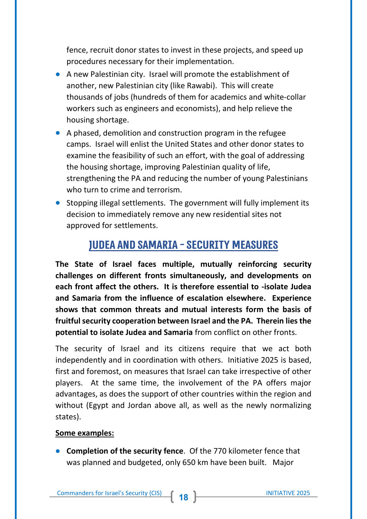fence, recruit donor states to invest in these projects, and speed up procedures necessary for their implementation.

- A new Palestinian city. Israel will promote the establishment of another, new Palestinian city (like Rawabi). This will create thousands of jobs (hundreds of them for academics and white-collar workers such as engineers and economists), and help relieve the housing shortage.
- A phased, demolition and construction program in the refugee camps. Israel will enlist the United States and other donor states to examine the feasibility of such an effort, with the goal of addressing the housing shortage, improving Palestinian quality of life, strengthening the PA and reducing the number of young Palestinians who turn to crime and terrorism.
- Stopping illegal settlements. The government will fully implement its decision to immediately remove any new residential sites not approved for settlements.

#### **Judea and Samaria -Security Measures**

**The State of Israel faces multiple, mutually reinforcing security challenges on different fronts simultaneously, and developments on each front affect the others. It is therefore essential to -isolate Judea and Samaria from the influence of escalation elsewhere. Experience shows that common threats and mutual interests form the basis of fruitful security cooperation between Israel and the PA. Therein lies the potential to isolate Judea and Samaria** from conflict on other fronts.

The security of Israel and its citizens require that we act both independently and in coordination with others. Initiative 2025 is based, first and foremost, on measures that Israel can take irrespective of other players. At the same time, the involvement of the PA offers major advantages, as does the support of other countries within the region and without (Egypt and Jordan above all, as well as the newly normalizing states).

#### **Some examples:**

• **Completion of the security fence**. Of the 770 kilometer fence that was planned and budgeted, only 650 km have been built. Major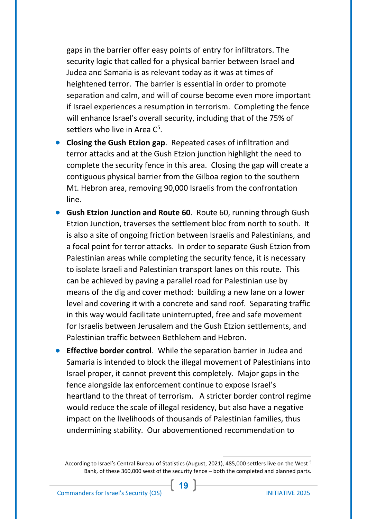gaps in the barrier offer easy points of entry for infiltrators. The security logic that called for a physical barrier between Israel and Judea and Samaria is as relevant today as it was at times of heightened terror. The barrier is essential in order to promote separation and calm, and will of course become even more important if Israel experiences a resumption in terrorism. Completing the fence will enhance Israel's overall security, including that of the 75% of settlers who live in Area  $C^5$ .

- **Closing the Gush Etzion gap**. Repeated cases of infiltration and terror attacks and at the Gush Etzion junction highlight the need to complete the security fence in this area. Closing the gap will create a contiguous physical barrier from the Gilboa region to the southern Mt. Hebron area, removing 90,000 Israelis from the confrontation line.
- **Gush Etzion Junction and Route 60**. Route 60, running through Gush Etzion Junction, traverses the settlement bloc from north to south. It is also a site of ongoing friction between Israelis and Palestinians, and a focal point for terror attacks. In order to separate Gush Etzion from Palestinian areas while completing the security fence, it is necessary to isolate Israeli and Palestinian transport lanes on this route. This can be achieved by paving a parallel road for Palestinian use by means of the dig and cover method: building a new lane on a lower level and covering it with a concrete and sand roof. Separating traffic in this way would facilitate uninterrupted, free and safe movement for Israelis between Jerusalem and the Gush Etzion settlements, and Palestinian traffic between Bethlehem and Hebron.
- **Effective border control**. While the separation barrier in Judea and Samaria is intended to block the illegal movement of Palestinians into Israel proper, it cannot prevent this completely. Major gaps in the fence alongside lax enforcement continue to expose Israel's heartland to the threat of terrorism. A stricter border control regime would reduce the scale of illegal residency, but also have a negative impact on the livelihoods of thousands of Palestinian families, thus undermining stability. Our abovementioned recommendation to

According to Israel's Central Bureau of Statistics (August, 2021), 485,000 settlers live on the West <sup>5</sup> Bank, of these 360,000 west of the security fence – both the completed and planned parts.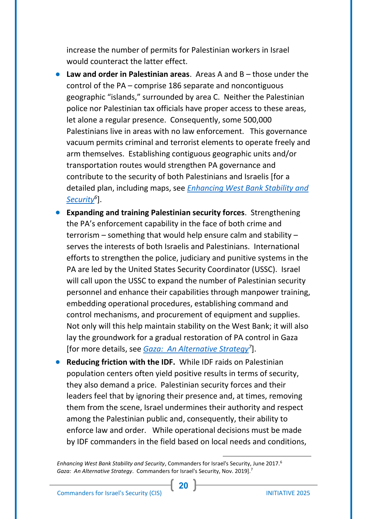increase the number of permits for Palestinian workers in Israel would counteract the latter effect.

- **Law and order in Palestinian areas**. Areas A and B those under the control of the PA – comprise 186 separate and noncontiguous geographic "islands," surrounded by area C. Neither the Palestinian police nor Palestinian tax officials have proper access to these areas, let alone a regular presence. Consequently, some 500,000 Palestinians live in areas with no law enforcement. This governance vacuum permits criminal and terrorist elements to operate freely and arm themselves. Establishing contiguous geographic units and/or transportation routes would strengthen PA governance and contribute to the security of both Palestinians and Israelis [for a detailed plan, including maps, see *[Enhancing West Bank Stability and](http://en.cis.org.il/wp-content/uploads/2017/06/HOVERET_HIZUK_YEZIVOOT_ENG.pdf)  [Security](http://en.cis.org.il/wp-content/uploads/2017/06/HOVERET_HIZUK_YEZIVOOT_ENG.pdf)<sup>6</sup>* ].
- **Expanding and training Palestinian security forces**. Strengthening the PA's enforcement capability in the face of both crime and terrorism – something that would help ensure calm and stability – serves the interests of both Israelis and Palestinians. International efforts to strengthen the police, judiciary and punitive systems in the PA are led by the United States Security Coordinator (USSC). Israel will call upon the USSC to expand the number of Palestinian security personnel and enhance their capabilities through manpower training, embedding operational procedures, establishing command and control mechanisms, and procurement of equipment and supplies. Not only will this help maintain stability on the West Bank; it will also lay the groundwork for a gradual restoration of PA control in Gaza [for more details, see *[Gaza: An Alternative Strategy](http://en.cis.org.il/wp-content/uploads/2019/11/GAZA-AN-ALTERNATIVE-ISRAELI-STRATEGY.pdf)<sup>7</sup>* ].
- **Reducing friction with the IDF.** While IDF raids on Palestinian population centers often yield positive results in terms of security, they also demand a price. Palestinian security forces and their leaders feel that by ignoring their presence and, at times, removing them from the scene, Israel undermines their authority and respect among the Palestinian public and, consequently, their ability to enforce law and order. While operational decisions must be made by IDF commanders in the field based on local needs and conditions,

<sup>6</sup> *Enhancing West Bank Stability and Security*, Commanders for Israel's Security, June 2017. <sup>7</sup> *Gaza: An Alternative Strategy*. Commanders for Israel's Security, Nov. 2019].

**20**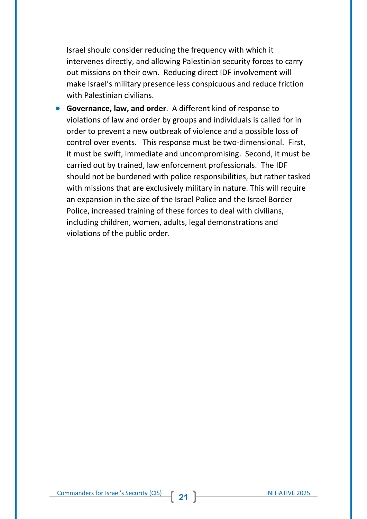Israel should consider reducing the frequency with which it intervenes directly, and allowing Palestinian security forces to carry out missions on their own. Reducing direct IDF involvement will make Israel's military presence less conspicuous and reduce friction with Palestinian civilians.

• **Governance, law, and order**. A different kind of response to violations of law and order by groups and individuals is called for in order to prevent a new outbreak of violence and a possible loss of control over events. This response must be two-dimensional. First, it must be swift, immediate and uncompromising. Second, it must be carried out by trained, law enforcement professionals. The IDF should not be burdened with police responsibilities, but rather tasked with missions that are exclusively military in nature. This will require an expansion in the size of the Israel Police and the Israel Border Police, increased training of these forces to deal with civilians, including children, women, adults, legal demonstrations and violations of the public order.